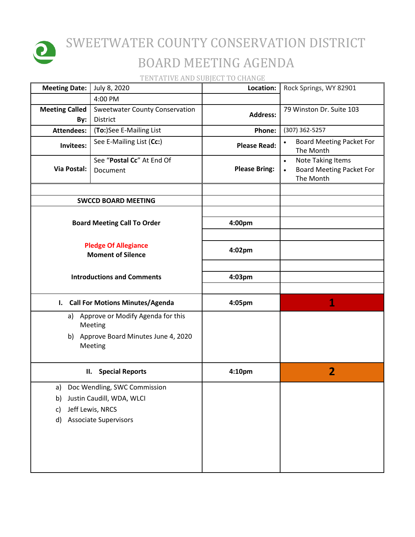

## SWEETWATER COUNTY CONSERVATION DISTRICT BOARD MEETING AGENDA

TENTATIVE AND SUBJECT TO CHANGE

| <b>Meeting Date:</b>                                    | July 8, 2020                                                                                                  | Location:            | Rock Springs, WY 82901                                                                |
|---------------------------------------------------------|---------------------------------------------------------------------------------------------------------------|----------------------|---------------------------------------------------------------------------------------|
|                                                         | 4:00 PM                                                                                                       |                      |                                                                                       |
| <b>Meeting Called</b><br>By:                            | <b>Sweetwater County Conservation</b><br>District                                                             | <b>Address:</b>      | 79 Winston Dr. Suite 103                                                              |
| <b>Attendees:</b>                                       | (To:)See E-Mailing List                                                                                       | Phone:               | (307) 362-5257                                                                        |
| Invitees:                                               | See E-Mailing List (Cc:)                                                                                      | <b>Please Read:</b>  | <b>Board Meeting Packet For</b><br>The Month                                          |
| Via Postal:                                             | See "Postal Cc" At End Of<br>Document                                                                         | <b>Please Bring:</b> | <b>Note Taking Items</b><br>$\bullet$<br><b>Board Meeting Packet For</b><br>The Month |
|                                                         | <b>SWCCD BOARD MEETING</b>                                                                                    |                      |                                                                                       |
|                                                         |                                                                                                               |                      |                                                                                       |
| <b>Board Meeting Call To Order</b>                      |                                                                                                               | 4:00pm               |                                                                                       |
| <b>Pledge Of Allegiance</b><br><b>Moment of Silence</b> |                                                                                                               | 4:02pm               |                                                                                       |
| <b>Introductions and Comments</b>                       |                                                                                                               | 4:03pm               |                                                                                       |
|                                                         | I. Call For Motions Minutes/Agenda                                                                            | 4:05pm               | 1                                                                                     |
| Approve or Modify Agenda for this<br>a)<br>Meeting      |                                                                                                               |                      |                                                                                       |
| b) Approve Board Minutes June 4, 2020<br>Meeting        |                                                                                                               |                      |                                                                                       |
|                                                         | <b>Special Reports</b><br>П.                                                                                  | 4:10pm               | $\overline{2}$                                                                        |
| a)<br>b)<br>c)<br>d)                                    | Doc Wendling, SWC Commission<br>Justin Caudill, WDA, WLCI<br>Jeff Lewis, NRCS<br><b>Associate Supervisors</b> |                      |                                                                                       |
|                                                         |                                                                                                               |                      |                                                                                       |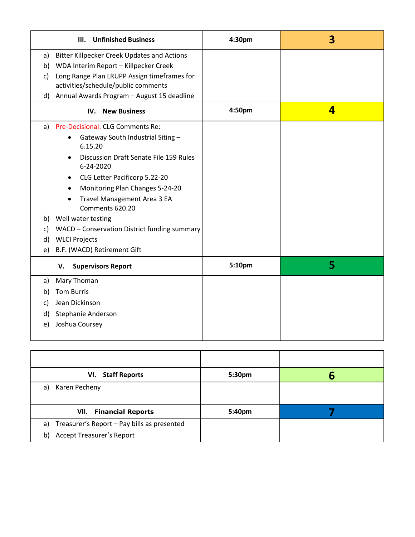| <b>Unfinished Business</b><br>Ш.                                        | 4:30pm | 3 |
|-------------------------------------------------------------------------|--------|---|
| <b>Bitter Killpecker Creek Updates and Actions</b><br>a)                |        |   |
| WDA Interim Report - Killpecker Creek<br>b)                             |        |   |
| Long Range Plan LRUPP Assign timeframes for<br>C)                       |        |   |
| activities/schedule/public comments                                     |        |   |
| d) Annual Awards Program - August 15 deadline                           |        |   |
| <b>New Business</b><br>IV.                                              | 4:50pm | 4 |
| a) Pre-Decisional: CLG Comments Re:                                     |        |   |
| Gateway South Industrial Siting -<br>$\bullet$<br>6.15.20               |        |   |
| <b>Discussion Draft Senate File 159 Rules</b><br>$\bullet$<br>6-24-2020 |        |   |
| CLG Letter Pacificorp 5.22-20<br>$\bullet$                              |        |   |
| Monitoring Plan Changes 5-24-20<br>$\bullet$                            |        |   |
| Travel Management Area 3 EA<br>Comments 620.20                          |        |   |
| b) Well water testing                                                   |        |   |
| WACD - Conservation District funding summary<br>C)                      |        |   |
| <b>WLCI Projects</b><br>d)                                              |        |   |
| B.F. (WACD) Retirement Gift<br>e)                                       |        |   |
| <b>Supervisors Report</b><br>V.                                         | 5:10pm | 5 |
| Mary Thoman<br>a)                                                       |        |   |
| <b>Tom Burris</b><br>b)                                                 |        |   |
| Jean Dickinson<br>c)                                                    |        |   |
| Stephanie Anderson<br>d)                                                |        |   |
| Joshua Coursey<br>e)                                                    |        |   |
|                                                                         |        |   |

| VI. Staff Reports                              | 5:30pm | n |
|------------------------------------------------|--------|---|
| Karen Pecheny<br>a)                            |        |   |
| <b>VII.</b> Financial Reports                  | 5:40pm |   |
| a) Treasurer's Report - Pay bills as presented |        |   |
| <b>Accept Treasurer's Report</b><br>b)         |        |   |